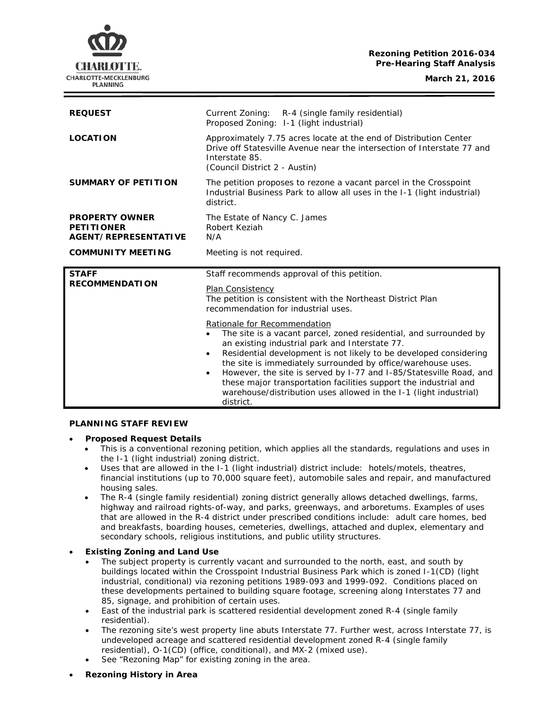# **Rezoning Petition 2016-034 Pre-Hearing Staff Analysis**

**March 21, 2016**



| <b>REQUEST</b>                                                            | Current Zoning: R-4 (single family residential)<br>Proposed Zoning: 1-1 (light industrial)                                                                                                      |
|---------------------------------------------------------------------------|-------------------------------------------------------------------------------------------------------------------------------------------------------------------------------------------------|
| <b>LOCATION</b>                                                           | Approximately 7.75 acres locate at the end of Distribution Center<br>Drive off Statesville Avenue near the intersection of Interstate 77 and<br>Interstate 85.<br>(Council District 2 - Austin) |
| <b>SUMMARY OF PETITION</b>                                                | The petition proposes to rezone a vacant parcel in the Crosspoint<br>Industrial Business Park to allow all uses in the I-1 (light industrial)<br>district.                                      |
| <b>PROPERTY OWNER</b><br><b>PETITIONER</b><br><b>AGENT/REPRESENTATIVE</b> | The Estate of Nancy C. James<br>Robert Keziah<br>N/A                                                                                                                                            |
| <b>COMMUNITY MEETING</b>                                                  | Meeting is not required.                                                                                                                                                                        |
|                                                                           |                                                                                                                                                                                                 |
| <b>STAFF</b><br><b>RECOMMENDATION</b>                                     | Staff recommends approval of this petition.<br>Plan Consistency<br>The petition is consistent with the Northeast District Plan<br>recommendation for industrial uses.                           |

## **PLANNING STAFF REVIEW**

### • **Proposed Request Details**

- This is a conventional rezoning petition, which applies all the standards, regulations and uses in the I-1 (light industrial) zoning district.
- Uses that are allowed in the I-1 (light industrial) district include: hotels/motels, theatres, financial institutions (up to 70,000 square feet), automobile sales and repair, and manufactured housing sales.
- The R-4 (single family residential) zoning district generally allows detached dwellings, farms, highway and railroad rights-of-way, and parks, greenways, and arboretums. Examples of uses that are allowed in the R-4 district under prescribed conditions include: adult care homes, bed and breakfasts, boarding houses, cemeteries, dwellings, attached and duplex, elementary and secondary schools, religious institutions, and public utility structures.

## • **Existing Zoning and Land Use**

- The subject property is currently vacant and surrounded to the north, east, and south by buildings located within the Crosspoint Industrial Business Park which is zoned I-1(CD) (light industrial, conditional) via rezoning petitions 1989-093 and 1999-092. Conditions placed on these developments pertained to building square footage, screening along Interstates 77 and 85, signage, and prohibition of certain uses.
- East of the industrial park is scattered residential development zoned R-4 (single family residential).
- The rezoning site's west property line abuts Interstate 77. Further west, across Interstate 77, is undeveloped acreage and scattered residential development zoned R-4 (single family residential), O-1(CD) (office, conditional), and MX-2 (mixed use).
- See "Rezoning Map" for existing zoning in the area.
- **Rezoning History in Area**